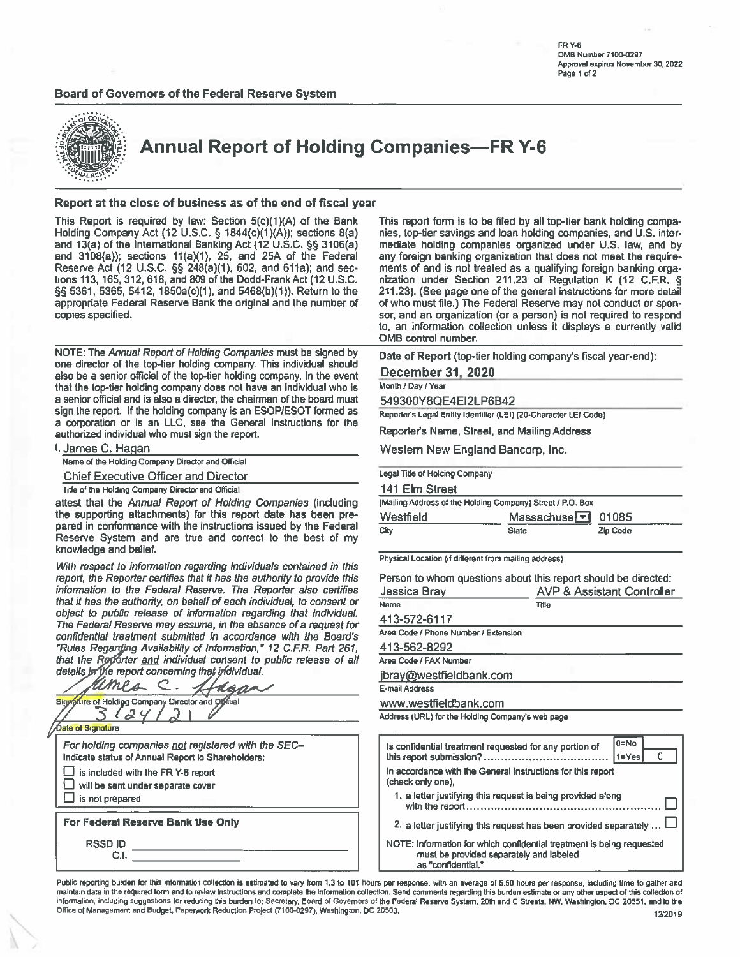### Board of Governors of the Federal Reserve System





**Annual Report of Holding Companies-FR Y-6** 

### Report at the close of business as of the end of fiscal year

This Report is required by law: Section 5(c)(1)(A) of the Bank Holding Company Act (12 U.S.C. § 1844(c)(1)(A)); sections 8(a) and 13(a) of the International Banking Act (12 U.S.C. §§ 3106(a) and 3108(a)); sections 11(a)(1), 25, and 25A of the Federal Reserve Act (12 U.S.C. §§ 248(a)(1), 602, and 611a); and sections 113, 165, 312, 618, and 809 of the Dodd-Frank Act (12 U.S.C. §§ 5361, 5365, 5412, 1850a(c)(1), and 5468(b)(1)). Return to the appropriate Federal Reserve Bank the original and the number of copies specified.

NOTE: The Annual Report of Holding Companies must be signed by one director of the top-tier holding company. This individual should also be a senior official of the top-tier holding company. In the event that the top-tier holding company does not have an individual who is a senior official and is also a director, the chairman of the board must sign the report. If the holding company is an ESOP/ESOT formed as a corporation or is an LLC, see the General Instructions for the authorized individual who must sign the report.

| I. James C. Hagan                                  |  |  |  |
|----------------------------------------------------|--|--|--|
| Name of the Holding Company Director and Official  |  |  |  |
| <b>Chief Executive Officer and Director</b>        |  |  |  |
| Title of the Holding Company Director and Official |  |  |  |
|                                                    |  |  |  |

attest that the Annual Report of Holding Companies (including the supporting attachments) for this report date has been prepared in conformance with the instructions issued by the Federal Reserve System and are true and correct to the best of my knowledge and belief.

With respect to information regarding individuals contained in this report, the Reporter certifies that it has the authority to provide this information to the Federal Reserve. The Reporter also certifies that it has the authority, on behalf of each individual, to consent or object to public release of information regarding that individual. The Federal Reserve may assume, in the absence of a request for confidential treatment submitted in accordance with the Board's "Rules Regarding Availability of Information," 12 C.F.R. Part 261, that the Reporter and individual consent to public release of all details in the report concerning that individual.

ames  $\subset$  . haa Signature of Holding Company Director and Official  $\mathcal{Q}$ **Óale of Signature** For holding companies not registered with the SEC-Indicate status of Annual Report to Shareholders: is included with the FR Y-6 report will be sent under separate cover  $\Box$  is not prepared For Federal Reserve Bank Use Only **RSSD ID**  $C.I.$ 

This report form is to be filed by all top-tier bank holding companies, top-tier savings and loan holding companies, and U.S. intermediate holding companies organized under U.S. law, and by any foreign banking organization that does not meet the requirements of and is not treated as a qualifying foreign banking organization under Section 211.23 of Regulation K (12 C.F.R. § 211.23). (See page one of the general instructions for more detail of who must file.) The Federal Reserve may not conduct or sponsor, and an organization (or a person) is not required to respond to, an information collection unless it displays a currently valid OMB control number.

Date of Report (top-tier holding company's fiscal year-end):

December 31, 2020

Month / Day / Year

549300Y8QE4EI2LP6B42

Reporter's Legal Entity Identifier (LEI) (20-Character LEI Code)

Reporter's Name, Street, and Mailing Address

Western New England Bancorp, Inc.

**Legal Title of Holding Company** 

| 141 Elm Street                                             |                                 |          |
|------------------------------------------------------------|---------------------------------|----------|
| (Mailing Address of the Holding Company) Street / P.O. Box |                                 |          |
| Westfield                                                  | Massachuse <sub>[5]</sub> 01085 |          |
| City                                                       | <b>State</b>                    | Zip Code |

Physical Location (if different from mailing address)

| Person to whom questions about this report should be directed: |                                       |
|----------------------------------------------------------------|---------------------------------------|
| Jessica Bray                                                   | <b>AVP &amp; Assistant Controller</b> |
| Name                                                           | Title                                 |
| 413-572-6117                                                   |                                       |
| .                                                              |                                       |

Area Code / Phone Number / Extension

413-562-8292

Area Code / FAX Number

jbray@westfieldbank.com

E-mail Address

www.westfieldbank.com

Address (URL) for the Holding Company's web page

| 0=No<br>Is confidential treatment requested for any portion of<br>$1 = Yes$                                                            |
|----------------------------------------------------------------------------------------------------------------------------------------|
| In accordance with the General Instructions for this report<br>(check only one).                                                       |
| 1. a letter justifying this request is being provided along                                                                            |
| 2. a letter justifying this request has been provided separately                                                                       |
| NOTE: Information for which confidential treatment is being requested<br>must be provided separately and labeled<br>as "confidential." |

Public reporting burden for this information collection is estimated to vary from 1.3 to 101 hours per response, with an average of 5.50 hours per response, including time to gather and maintain data in the required form and to review instructions and complete the information collection. Send comments regarding this burden estimate or any other aspect of this collection of information, including suggestions for reducing this burden to: Secretary, Board of Governors of the Federal Reserve System, 20th and C Streets, NW, Washington, DC 20551, and to the Office of Management and Budget, Paperwork Reduction Project (7100-0297), Washington, DC 20503. 12/2019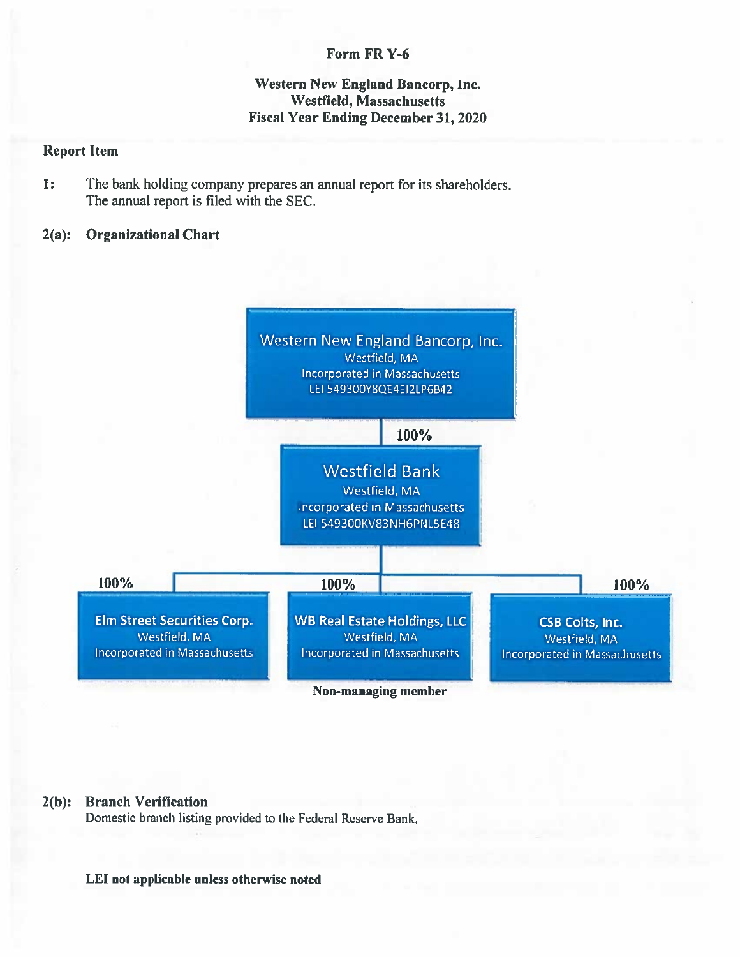# Form FR Y-6

# **Western New England Bancorp, Inc. Westfield, Massachusetts Fiscal Year Ending December 31, 2020**

## **Report Item**

 $\mathbf{1:}$ The bank holding company prepares an annual report for its shareholders. The annual report is filed with the SEC.

#### $2(a):$ **Organizational Chart**



Non-managing member

#### **Branch Verification**  $2(b)$ :

Domestic branch listing provided to the Federal Reserve Bank.

## LEI not applicable unless otherwise noted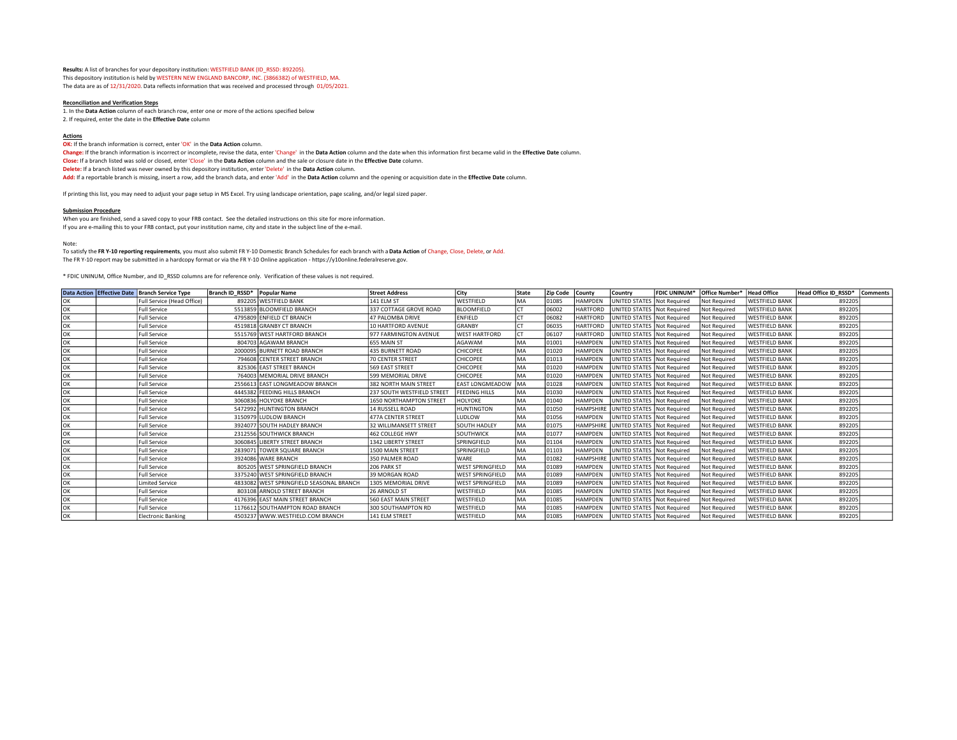Results: A list of branches for your depository institution: WESTFIELD BANK (ID\_RSSD: 892205). This depository institution is held by WESTERN NEW ENGLAND BANCORP, INC. (3866382) of WESTFIELD, MA. The data are as of  $12/31/2020$ . Data reflects information that was received and processed through 01/05/2021.

#### Reconciliation and Verification Steps

1. In the Data Action column of each branch row, enter one or more of the actions specified below 2. If required, enter the date in the Effective Date column

#### Actions

OK: If the branch information is correct, enter 'OK' in the Data Action column. Change: If the branch information is incorrect or incomplete, revise the data, enter 'Change' in the Data Action column and the date when this information first became valid in the Effective Date column. Close: If a branch listed was sold or closed, enter 'Close' in the Data Action column and the sale or closure date in the Effective Date column. Delete: If a branch listed was never owned by this depository institution, enter 'Delete' in the Data Action column. Add: If a reportable branch is missing, insert a row, add the branch data, and enter 'Add' in the Data Action column and the opening or acquisition date in the Effective Date column.

If printing this list, you may need to adjust your page setup in MS Excel. Try using landscape orientation, page scaling, and/or legal sized paper.

#### Submission Procedure

When you are finished, send a saved copy to your FRB contact. See the detailed instructions on this site for more information. If you are e-mailing this to your FRB contact, put your institution name, city and state in the subject line of the e-mail.

Note:

To satisfy the FR Y-10 reporting requirements, you must also submit FR Y-10 Domestic Branch Schedules for each branch with a Data Action of Change, Close, Delete, or Add. The FR Y-10 report may be submitted in a hardcopy format or via the FR Y-10 Online application - https://y10online.federalreserve.gov.

\* FDIC UNINUM, Office Number, and ID\_RSSD columns are for reference only. Verification of these values is not required.

|    | Data Action Effective Date   Branch Service Type | Branch ID RSSD* Popular Name |                                          | <b>Street Address</b>         | <b>City</b>             | <b>State</b> | <b>Zip Code</b> | <b>County</b>    | Country                      | <b>FDIC UNINUM*</b> | Office Number* | <b>Head Office</b>    | Head Office ID RSSD* | <b>Comments</b> |
|----|--------------------------------------------------|------------------------------|------------------------------------------|-------------------------------|-------------------------|--------------|-----------------|------------------|------------------------------|---------------------|----------------|-----------------------|----------------------|-----------------|
| ОΚ | Full Service (Head Office)                       |                              | 892205 WESTFIELD BANK                    | <b>141 ELM ST</b>             | WESTFIELD               | MA           | 01085           | <b>HAMPDEN</b>   | UNITED STATES                | Not Required        | Not Required   | <b>WESTFIELD BANK</b> | 892205               |                 |
| ОΚ | <b>Full Service</b>                              |                              | 5513859 BLOOMFIELD BRANCH                | 337 COTTAGE GROVE ROAD        | <b>BLOOMFIELD</b>       |              | 06002           | <b>HARTFORD</b>  | UNITED STATES Not Required   |                     | Not Required   | <b>WESTFIELD BANK</b> | 892205               |                 |
| ОK | <b>Full Service</b>                              |                              | 4795809 ENFIELD CT BRANCH                | 47 PALOMBA DRIVE              | <b>ENFIELD</b>          |              | 06082           | HARTFORD         | UNITED STATES                | Not Required        | Not Required   | <b>WESTFIELD BANK</b> | 892205               |                 |
| ОK | <b>Full Service</b>                              |                              | 4519818 GRANBY CT BRANCH                 | 10 HARTFORD AVENUE            | <b>GRANBY</b>           |              | 06035           | HARTFORD         | UNITED STATES                | Not Required        | Not Required   | <b>WESTFIELD BANK</b> | 892205               |                 |
| ΟК | <b>Full Service</b>                              |                              | 5515769 WEST HARTFORD BRANCH             | 977 FARMINGTON AVENUE         | <b>WEST HARTFORD</b>    |              | 06107           | HARTFORD         | UNITED STATES   Not Required |                     | Not Required   | <b>WESTFIELD BANK</b> | 892205               |                 |
| ОK | <b>Full Service</b>                              |                              | 804703 AGAWAM BRANCH                     | 655 MAIN ST                   | AGAWAM                  | MA           | 01001           | <b>HAMPDEN</b>   | UNITED STATES Not Required   |                     | Not Required   | <b>WESTFIELD BANK</b> | 892205               |                 |
| ОΚ | <b>Full Service</b>                              |                              | 2000095 BURNETT ROAD BRANCH              | <b>435 BURNETT ROAD</b>       | CHICOPEE                | MA           | 01020           | <b>HAMPDEN</b>   | UNITED STATES Not Required   |                     | Not Required   | <b>WESTFIELD BANK</b> | 892205               |                 |
| ОΚ | <b>Full Service</b>                              |                              | 794608 CENTER STREET BRANCH              | <b>70 CENTER STREET</b>       | CHICOPEE                | MA           | 01013           | HAMPDEN          | UNITED STATES Not Required   |                     | Not Required   | <b>WESTFIELD BANK</b> | 892205               |                 |
| ΟК | <b>Full Service</b>                              |                              | 825306 EAST STREET BRANCH                | 569 EAST STREET               | CHICOPEE                | MA           | 01020           | <b>HAMPDEN</b>   | UNITED STATES   Not Required |                     | Not Required   | <b>WESTFIELD BANK</b> | 892205               |                 |
| ОΚ | <b>Full Service</b>                              |                              | 764003 MEMORIAL DRIVE BRANCH             | 599 MEMORIAL DRIVE            | <b>CHICOPEE</b>         | MA           | 01020           | <b>HAMPDEN</b>   | UNITED STATES   Not Required |                     | Not Required   | <b>WESTFIELD BANK</b> | 892205               |                 |
| ОΚ | <b>Full Service</b>                              |                              | 2556613 EAST LONGMEADOW BRANCH           | <b>382 NORTH MAIN STREET</b>  | <b>EAST LONGMEADOW</b>  | <b>IMA</b>   | 01028           | HAMPDEN          | UNITED STATES                | Not Required        | Not Required   | <b>WESTFIELD BANK</b> | 892205               |                 |
| ОΚ | <b>Full Service</b>                              |                              | 4445382 FEEDING HILLS BRANCH             | 237 SOUTH WESTFIELD STREE     | <b>FEEDING HILLS</b>    | MA           | 01030           | <b>HAMPDEN</b>   | UNITED STATES Not Required   |                     | Not Required   | <b>WESTFIELD BANK</b> | 892205               |                 |
| OK | <b>Full Service</b>                              |                              | 3060836 HOLYOKE BRANCH                   | 1650 NORTHAMPTON STREET       | HOLYOKE                 | MA           | 01040           | <b>HAMPDEN</b>   | UNITED STATES                | Not Required        | Not Required   | <b>WESTFIELD BANK</b> | 892205               |                 |
| ОК | <b>Full Service</b>                              |                              | 5472992 HUNTINGTON BRANCH                | <b>14 RUSSELL ROAD</b>        | <b>HUNTINGTON</b>       | MA           | 01050           | <b>HAMPSHIRE</b> | UNITED STATES                | Not Required        | Not Required   | <b>WESTFIELD BANK</b> | 892205               |                 |
| ΟК | <b>Full Service</b>                              |                              | 3150979 LUDLOW BRANCH                    | <b>477A CENTER STREET</b>     | LUDLOW                  | MA           | 01056           | <b>HAMPDEN</b>   | UNITED STATES Not Required   |                     | Not Required   | <b>WESTFIELD BANK</b> | 892205               |                 |
| ΟК | <b>Full Service</b>                              |                              | 3924077 SOUTH HADLEY BRANCH              | <b>32 WILLIMANSETT STREET</b> | <b>SOUTH HADLEY</b>     | MA           | 01075           | <b>HAMPSHIRE</b> | UNITED STATES Not Required   |                     | Not Required   | <b>WESTFIELD BANK</b> | 892205               |                 |
| ОΚ | <b>Full Service</b>                              |                              | 2312556 SOUTHWICK BRANCH                 | 462 COLLEGE HWY               | <b>SOUTHWICK</b>        | MA           | 01077           | <b>HAMPDEN</b>   | UNITED STATES                | Not Required        | Not Required   | <b>WESTFIELD BANK</b> | 892205               |                 |
| ОΚ | <b>Full Service</b>                              |                              | 3060845 LIBERTY STREET BRANCH            | 1342 LIBERTY STREET           | SPRINGFIELD             | MA           | 01104           | <b>HAMPDEN</b>   | UNITED STATES   Not Required |                     | Not Required   | <b>WESTFIELD BANK</b> | 892205               |                 |
| ΟК | <b>Full Service</b>                              |                              | 2839071 TOWER SQUARE BRANCH              | <b>1500 MAIN STREET</b>       | SPRINGFIELD             | MA           | 01103           | <b>HAMPDEN</b>   | UNITED STATES Not Required   |                     | Not Required   | <b>WESTFIELD BANK</b> | 892205               |                 |
| ОΚ | <b>Full Service</b>                              |                              | 3924086 WARE BRANCH                      | 350 PALMER ROAD               | WARF                    | MA           | 01082           | <b>HAMPSHIRE</b> | UNITED STATES                | Not Required        | Not Required   | <b>WESTFIELD BANK</b> | 892205               |                 |
| ОK | <b>Full Service</b>                              |                              | 805205 WEST SPRINGFIELD BRANCH           | 206 PARK ST                   | <b>WEST SPRINGFIELD</b> | MA           | 01089           | <b>HAMPDEN</b>   | UNITED STATES Not Required   |                     | Not Required   | <b>WESTFIELD BANK</b> | 892205               |                 |
| ОΚ | <b>Full Service</b>                              |                              | 3375240 WEST SPRINGFIELD BRANCH          | <b>39 MORGAN ROAD</b>         | <b>WEST SPRINGFIELD</b> | MA           | 01089           | <b>HAMPDEN</b>   | UNITED STATES   Not Required |                     | Not Required   | <b>WESTFIELD BANK</b> | 892205               |                 |
| ΟК | <b>Limited Service</b>                           |                              | 4833082 WEST SPRINGFIELD SEASONAL BRANCH | 1305 MEMORIAL DRIVE           | <b>WEST SPRINGFIELD</b> | MA           | 01089           | <b>HAMPDEN</b>   | UNITED STATES                | Not Required        | Not Required   | <b>WESTFIELD BANK</b> | 892205               |                 |
| ОΚ | <b>Full Service</b>                              |                              | 803108 ARNOLD STREET BRANCH              | 26 ARNOLD ST                  | WESTFIELD               | MA           | 01085           | <b>HAMPDEN</b>   | UNITED STATES Not Required   |                     | Not Required   | <b>WESTFIELD BANK</b> | 892205               |                 |
| ОΚ | <b>Full Service</b>                              |                              | 4176396 EAST MAIN STREET BRANCH          | <b>560 EAST MAIN STREET</b>   | WESTFIELD               | MA           | 01085           | <b>HAMPDEN</b>   | UNITED STATES Not Required   |                     | Not Required   | <b>WESTFIELD BANK</b> | 892205               |                 |
| ΟК | <b>Full Service</b>                              |                              | 1176612 SOUTHAMPTON ROAD BRANCH          | 300 SOUTHAMPTON RD            | WESTFIELD               | MA           | 01085           | <b>HAMPDEN</b>   | UNITED STATES Not Required   |                     | Not Required   | <b>WESTFIELD BANK</b> | 892205               |                 |
| ОК | <b>Electronic Banking</b>                        |                              | 4503237 WWW.WESTFIELD.COM BRANCH         | 141 ELM STREET                | WESTFIELD               | MA           | 01085           | HAMPDEN          | UNITED STATES Not Required   |                     | Not Required   | <b>WESTFIELD BANK</b> | 892205               |                 |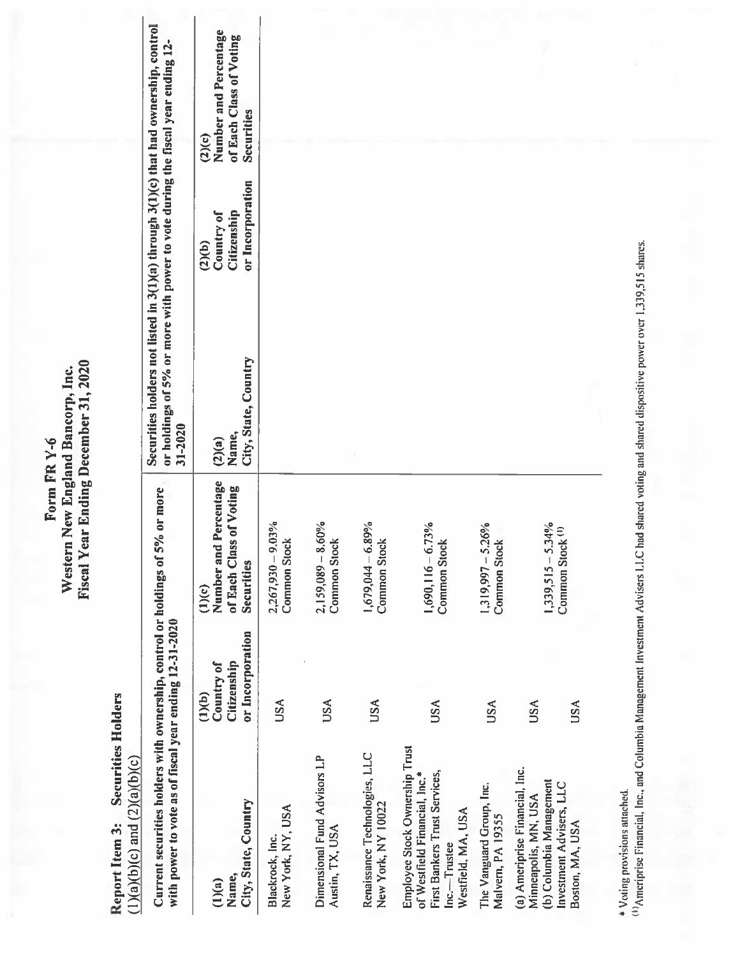> Report Item 3: Securities Holders  $(1)(a)(b)(c)$  and  $(2)(a)(b)(c)$

| Current securities holders with ownership, control or holdings of 59<br>with power to vote as of fiscal year ending 12-31-2020                |                                                         | % or more                                                                   | Securities holders not listed in 3(1)(a) through 3(1)(c) that had ownership, control<br>or holdings of 5% or more with power to vote during the fiscal year ending 12-<br>31-2020 |                                                         |                                                                          |
|-----------------------------------------------------------------------------------------------------------------------------------------------|---------------------------------------------------------|-----------------------------------------------------------------------------|-----------------------------------------------------------------------------------------------------------------------------------------------------------------------------------|---------------------------------------------------------|--------------------------------------------------------------------------|
| City, State, Country<br>Name,<br>(1)(a)                                                                                                       | or Incorporation<br>Citizenship<br>Country of<br>(1)(b) | Percentage<br>of Each Class of Voting<br>Number and<br>Securities<br>(1)(c) | City, State, Country<br>Name,<br>(2)(a)                                                                                                                                           | or Incorporation<br>Citizenship<br>Country of<br>(2)(b) | Number and Percentage<br>of Each Class of Voting<br>Securities<br>(2)(c) |
| New York, NY, USA<br>Blackrock, Inc.                                                                                                          | <b>USA</b>                                              | $2,267,930 - 9.03%$<br>Common Stock                                         |                                                                                                                                                                                   |                                                         |                                                                          |
| Dimensional Fund Advisors LP<br>Austin, TX, USA                                                                                               | <b>USA</b>                                              | $2,159,089 - 8.60\%$<br>Common Stock                                        |                                                                                                                                                                                   |                                                         |                                                                          |
| Renaissance Technologies, LLC<br>New York, NY 10022                                                                                           | USA                                                     | 1,679,044 - 6.89%<br>Common Stoc                                            |                                                                                                                                                                                   |                                                         |                                                                          |
| Employee Stock Ownership Trust<br><b>First Bankers Trust Services,</b><br>of Westfield Financial, Inc.*<br>Westfield, MA, USA<br>Inc.-Trustee | <b>USA</b>                                              | $1,690,116-6.73%$<br><b>Common Stock</b>                                    |                                                                                                                                                                                   |                                                         |                                                                          |
| The Vanguard Group, Inc.<br>Malvem, PA 19355                                                                                                  | <b>USA</b>                                              | $1,319,997 - 5.26%$<br><b>Common Stock</b>                                  |                                                                                                                                                                                   |                                                         |                                                                          |
| (a) Ameriprise Financial, Inc.<br>(b) Columbia Management<br>Investment Advisers, LLC<br>Minneapolis, MN, USA<br>Boston, MA, USA              | <b>USA</b><br><b>USA</b>                                | $1,339,515 - 5.34%$<br>Common Stock <sup>(1)</sup>                          |                                                                                                                                                                                   |                                                         |                                                                          |
|                                                                                                                                               |                                                         |                                                                             |                                                                                                                                                                                   |                                                         |                                                                          |

\* Voting provisions attached.

(1) Ameriprise Financial, Inc., and Columbia Management Investment Advisers LLC had shared voting and shared dispositive power over 1,339,515 shares.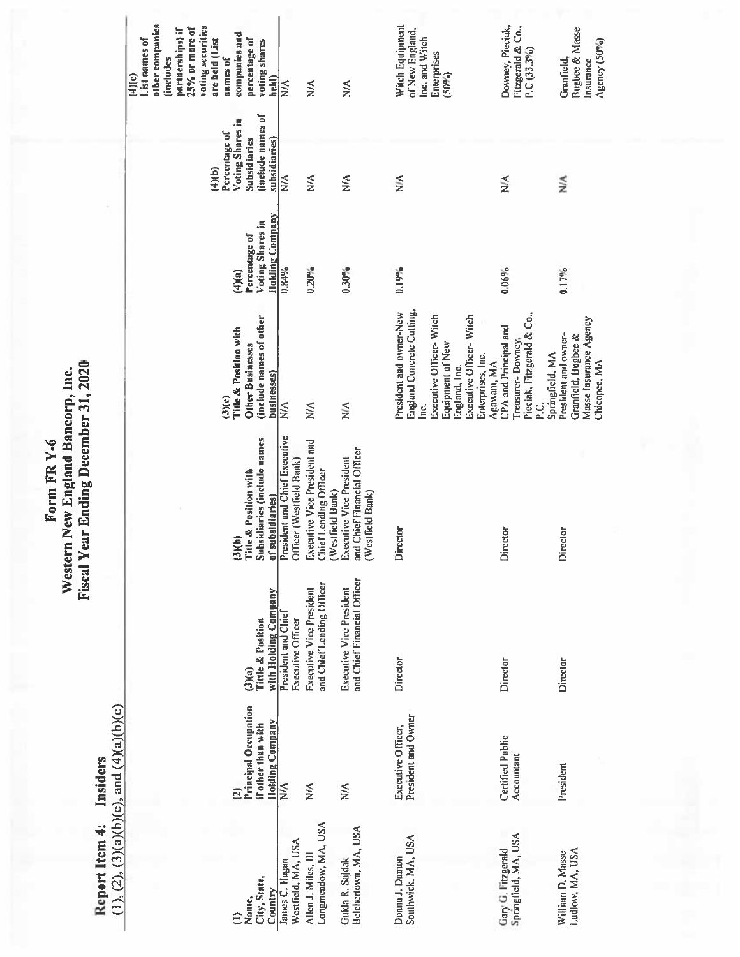Report Item 4: Insiders<br>(1), (2), (3)(a)(b)(c), and (4)(a)(b)(c)

| other companies<br>voting securities<br>25% or more of<br>partnerships) if<br>companies and<br>List names of<br>are held (List<br>percentage of<br>voting shares<br>(includes<br>names of<br>(4)(c)<br>held) | $\lessapprox$                                             | $\lessapprox$                                                             | $\lessapprox$                                                               | Witch Equipment<br>of New England,<br>Inc. and Witch<br>Enterprises<br>(50%)                                                                                                                      | Downey, Pieciak,<br>Fitzgerald & Co.,<br>$P.C(33.3\%)$                                                        | <b>Bugbee &amp; Masse</b><br>Agency (50%)<br>Granfield,<br>Insurance                  |
|--------------------------------------------------------------------------------------------------------------------------------------------------------------------------------------------------------------|-----------------------------------------------------------|---------------------------------------------------------------------------|-----------------------------------------------------------------------------|---------------------------------------------------------------------------------------------------------------------------------------------------------------------------------------------------|---------------------------------------------------------------------------------------------------------------|---------------------------------------------------------------------------------------|
| (include names of<br>Voting Shares in<br>Percentage of<br><b>Subsidiaries</b><br>subsidiaries)<br>(4)(b)                                                                                                     | $\lessapprox$                                             | $\lessapprox$                                                             | $\leq$                                                                      | $\leq$                                                                                                                                                                                            | ⋚                                                                                                             | ⋚                                                                                     |
| <b>Holding Company</b><br>Voting Shares in<br>Percentage of<br>(4)(a)                                                                                                                                        | 0.84%                                                     | $0.20\%$                                                                  | $0.30\%$                                                                    | 0.19%                                                                                                                                                                                             | $0.06\%$                                                                                                      | 0.17%                                                                                 |
| (include names of other<br><b>Title &amp; Position with</b><br><b>Other Businesses</b><br>businesses)<br>(3)(c)                                                                                              | $\lessapprox$                                             | $\lessapprox$                                                             | $\leq$                                                                      | <b>England Concrete Cutting.</b><br>President and owner-New<br>Executive Officer-Witch<br>Executive Officer-Witch<br>Equipment of New<br>Enterprises, Inc.<br>Agawam, MA<br>England, Inc.<br>Inc. | Pieciak, Fitzgerald & Co.,<br><b>CPA</b> and Principal and<br>Treasurer-Downey,<br>Springfield, MA<br>ن<br>آء | Masse Insurance Agency<br>President and owner-<br>Granfield, Bugbee &<br>Chicopee, MA |
| Subsidiaries (include names<br>Title & Position with<br>of subsidiaries)<br>(3)(b)                                                                                                                           | President and Chief Executive<br>Officer (Westfield Bank) | Executive Vice President and<br>Chief Lending Officer<br>(Westfield Bank) | and Chief Financial Officer<br>Executive Vice President<br>(Westfield Bank) | Director                                                                                                                                                                                          | Director                                                                                                      | Director                                                                              |
| with Holding Company<br><b>Tittle &amp; Position</b><br>(3)(a)                                                                                                                                               | <b>President and Chief</b><br>Executive Officer           | and Chief Lending Officer<br>Executive Vice President                     | and Chief Financial Officer<br><b>Executive Vice President</b>              | Director                                                                                                                                                                                          | Director                                                                                                      | Director                                                                              |
| <b>Principal Occupation</b><br><b>Holding Company</b><br>if other than with<br>₫                                                                                                                             | $\leq$                                                    | $\lessapprox$                                                             | $\lessapprox$                                                               | President and Owner<br>Executive Officer,                                                                                                                                                         | Certified Public<br>Accountant                                                                                | President                                                                             |
| City, State,<br>Country<br>Name,                                                                                                                                                                             | Westfield, MA, USA<br>James C. Hagan                      | Longmendow, MA, USA<br>Allen J. Miles, III                                | Belchertown, MA, USA<br>Guida R. Sajdak                                     | Southwick, MA, USA<br>Donna J. Damon                                                                                                                                                              | Springfield, MA, USA<br>Gary G. Fitzgerald                                                                    | Ludlow, MA, USA<br>William D. Masse                                                   |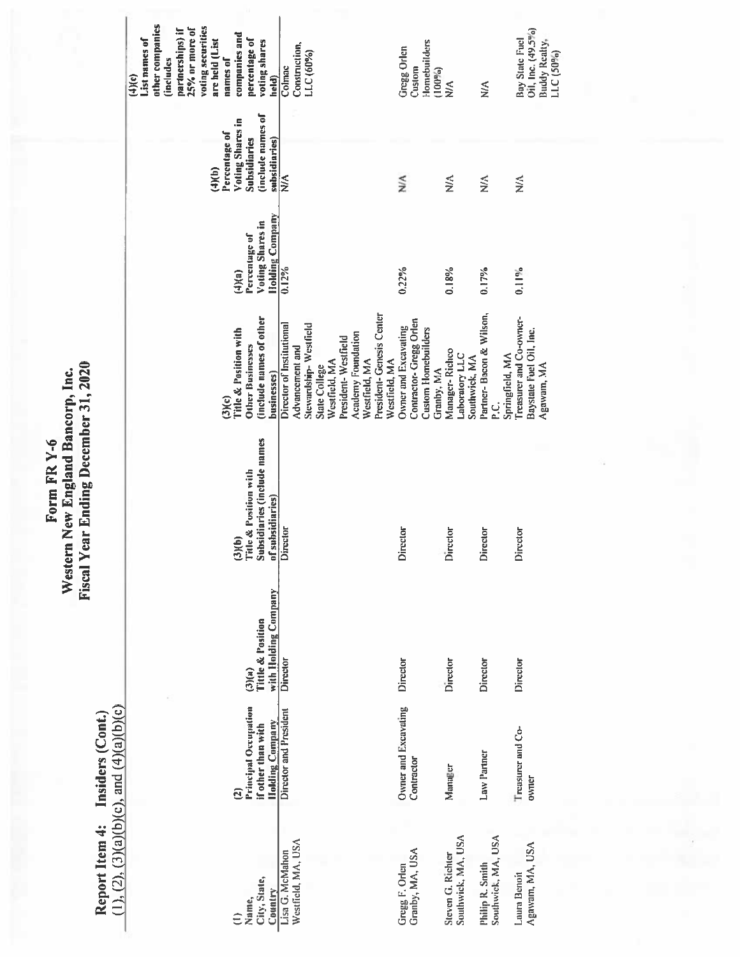Report Item 4: Insiders (Cont.)<br>(1), (2), (3)(a)(b)(c), and (4)(a)(b)(c)

| other companies<br>voting securities<br>25% or more of<br>partnerships) if<br>companies and<br>List names of<br>percentage of<br>are held (List<br>voting shares<br>(includes<br>names of<br>(4)(c)<br>held) | Construction,<br>LLC (60%)<br>Colmac                                                                                                                                                                                      | Homebuilders<br><b>Gregg Orlen</b><br>Custom<br>$(100\%)$                           | $\lessapprox$                                     | ⋚                                                    | Oil, Inc. (49.5%)<br>Bay State Fuel<br>Buddy Realty,<br>$LLC(50\%)$ |
|--------------------------------------------------------------------------------------------------------------------------------------------------------------------------------------------------------------|---------------------------------------------------------------------------------------------------------------------------------------------------------------------------------------------------------------------------|-------------------------------------------------------------------------------------|---------------------------------------------------|------------------------------------------------------|---------------------------------------------------------------------|
| (include names of<br>Voting Shares in<br>Percentage of<br><b>Subsidiaries</b><br>subsidiaries)<br>(4)(b)                                                                                                     | ⋚                                                                                                                                                                                                                         | ≦                                                                                   | $\lessapprox$                                     | $\leq$                                               | $\leq$                                                              |
| <b>Holding Company</b><br>Voting Shares in<br>Percentage of<br>(4)(n)                                                                                                                                        | 0.12%                                                                                                                                                                                                                     | 0.22%                                                                               | 0.18%                                             | 0.17%                                                | $0.11\%$                                                            |
| (include names of other<br>Fitle & Position with<br>Other Businesses<br>businesses)<br>(3)(c)                                                                                                                | President-Genesis Center<br>Director of Institutional<br>Stewardship-Westfield<br><b>Academy Foundation</b><br>President-Westfield<br>Advancement and<br>Westfield, MA<br>Westfield, MA<br>Westfield, MA<br>State College | Contractor-Gregg Orlen<br>Owner and Excavating<br>Custom Homebuilders<br>Granby, MA | Manager-Richco<br>Laboratory LLC<br>Southwick, MA | Partner-Bacon & Wilson,<br>Springfield, MA<br>ن<br>غ | Treasurer and Co-owner-<br>Baystate Fuel Oil, Inc.<br>Agawam, MA    |
| Subsidiaries (include names<br>Title & Position with<br>of subsidiaries)<br>(3)(b)                                                                                                                           | <b>Director</b>                                                                                                                                                                                                           | Director                                                                            | Director                                          | Director                                             | <b>Director</b>                                                     |
| with Holding Company<br>Tittle & Position<br>(3)(a)                                                                                                                                                          | Director                                                                                                                                                                                                                  | Director                                                                            | Director                                          | Director                                             | Director                                                            |
| Principal Occupation<br><b>Holding Company</b><br>if other than with                                                                                                                                         | Director and President                                                                                                                                                                                                    | Owner and Excavating<br>Contractor                                                  | Manager                                           | Law Partner                                          | Treasurer and Co-<br>owner                                          |
| City, State,<br>Country<br>Name,                                                                                                                                                                             | Westfield, MA, USA<br>Lisa G. McMahon                                                                                                                                                                                     | Granby, MA, USA<br>Gregg F. Orlen                                                   | Southwick, MA, USA<br>Steven G. Richter           | Southwick, MA, USA<br>Philip R. Smith                | Agawam, MA, USA<br>Laura Benoit                                     |